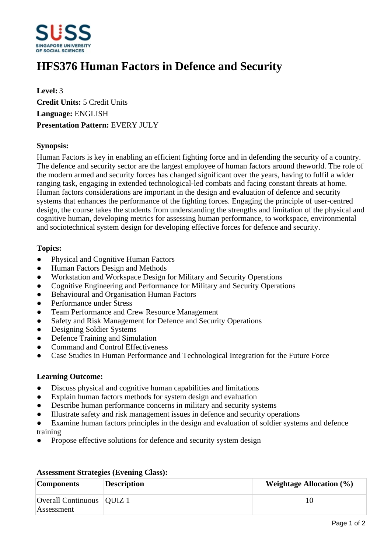

# **HFS376 Human Factors in Defence and Security**

**Level:** 3 **Credit Units:** 5 Credit Units **Language:** ENGLISH **Presentation Pattern:** EVERY JULY

### **Synopsis:**

Human Factors is key in enabling an efficient fighting force and in defending the security of a country. The defence and security sector are the largest employee of human factors around theworld. The role of the modern armed and security forces has changed significant over the years, having to fulfil a wider ranging task, engaging in extended technological-led combats and facing constant threats at home. Human factors considerations are important in the design and evaluation of defence and security systems that enhances the performance of the fighting forces. Engaging the principle of user-centred design, the course takes the students from understanding the strengths and limitation of the physical and cognitive human, developing metrics for assessing human performance, to workspace, environmental and sociotechnical system design for developing effective forces for defence and security.

#### **Topics:**

- Physical and Cognitive Human Factors
- Human Factors Design and Methods
- Workstation and Workspace Design for Military and Security Operations
- Cognitive Engineering and Performance for Military and Security Operations
- Behavioural and Organisation Human Factors
- ƔPerformance under Stress
- Team Performance and Crew Resource Management
- Safety and Risk Management for Defence and Security Operations
- Designing Soldier Systems
- Defence Training and Simulation
- ƔCommand and Control Effectiveness
- ƔCase Studies in Human Performance and Technological Integration for the Future Force

#### **Learning Outcome:**

- Discuss physical and cognitive human capabilities and limitations
- Explain human factors methods for system design and evaluation
- Describe human performance concerns in military and security systems
- Illustrate safety and risk management issues in defence and security operations
- Examine human factors principles in the design and evaluation of soldier systems and defence training
- Propose effective solutions for defence and security system design

| <b>Components</b>                         | <b>Description</b> | <b>Weightage Allocation (%)</b> |
|-------------------------------------------|--------------------|---------------------------------|
| Overall Continuous   QUIZ 1<br>Assessment |                    |                                 |

## **Assessment Strategies (Evening Class):**